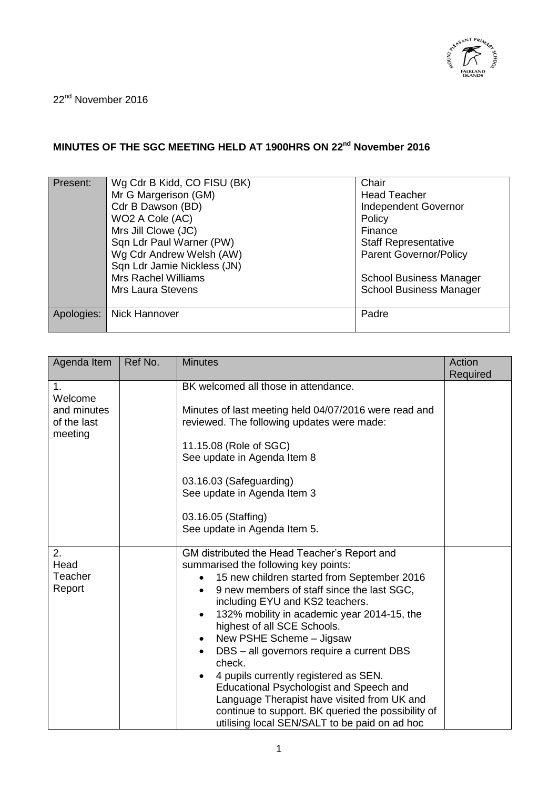

22nd November 2016

## **MINUTES OF THE SGC MEETING HELD AT 1900HRS ON 22nd November 2016**

| Present:   | Wg Cdr B Kidd, CO FISU (BK) | Chair                          |
|------------|-----------------------------|--------------------------------|
|            | Mr G Margerison (GM)        | <b>Head Teacher</b>            |
|            | Cdr B Dawson (BD)           | Independent Governor           |
|            | WO2 A Cole (AC)             | Policy                         |
|            | Mrs Jill Clowe (JC)         | Finance                        |
|            | Sqn Ldr Paul Warner (PW)    | <b>Staff Representative</b>    |
|            | Wg Cdr Andrew Welsh (AW)    | <b>Parent Governor/Policy</b>  |
|            | Sqn Ldr Jamie Nickless (JN) |                                |
|            | <b>Mrs Rachel Williams</b>  | <b>School Business Manager</b> |
|            | <b>Mrs Laura Stevens</b>    | <b>School Business Manager</b> |
|            |                             |                                |
| Apologies: | <b>Nick Hannover</b>        | Padre                          |
|            |                             |                                |

| Agenda Item                                            | Ref No. | <b>Minutes</b>                                                                                                                                                                                                                                                                                                                                                                                                                                                                                                                                                                                                                               | Action<br>Required |
|--------------------------------------------------------|---------|----------------------------------------------------------------------------------------------------------------------------------------------------------------------------------------------------------------------------------------------------------------------------------------------------------------------------------------------------------------------------------------------------------------------------------------------------------------------------------------------------------------------------------------------------------------------------------------------------------------------------------------------|--------------------|
| 1.<br>Welcome<br>and minutes<br>of the last<br>meeting |         | BK welcomed all those in attendance.<br>Minutes of last meeting held 04/07/2016 were read and<br>reviewed. The following updates were made:<br>11.15.08 (Role of SGC)<br>See update in Agenda Item 8<br>03.16.03 (Safeguarding)<br>See update in Agenda Item 3<br>03.16.05 (Staffing)<br>See update in Agenda Item 5.                                                                                                                                                                                                                                                                                                                        |                    |
| 2.<br>Head<br>Teacher<br>Report                        |         | GM distributed the Head Teacher's Report and<br>summarised the following key points:<br>15 new children started from September 2016<br>9 new members of staff since the last SGC,<br>including EYU and KS2 teachers.<br>132% mobility in academic year 2014-15, the<br>$\bullet$<br>highest of all SCE Schools.<br>New PSHE Scheme - Jigsaw<br>DBS - all governors require a current DBS<br>check.<br>4 pupils currently registered as SEN.<br>Educational Psychologist and Speech and<br>Language Therapist have visited from UK and<br>continue to support. BK queried the possibility of<br>utilising local SEN/SALT to be paid on ad hoc |                    |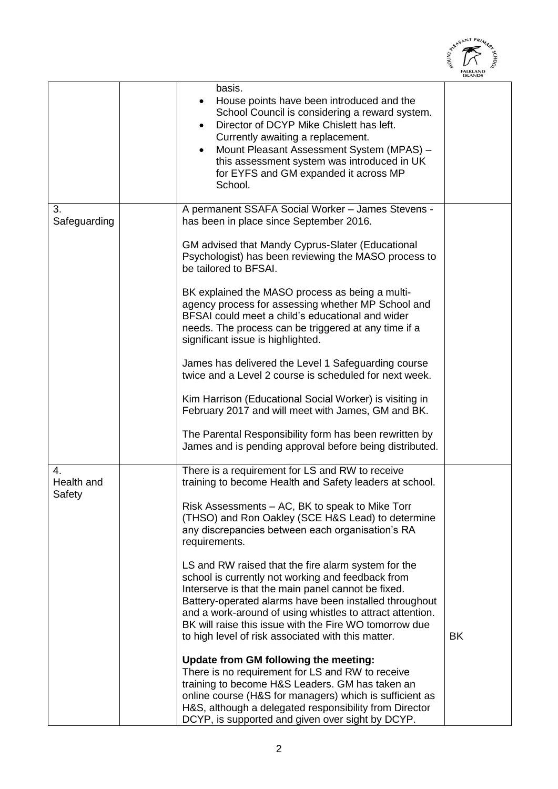

|                                          |                                                                                                                                                                                                                                                                                                                                                     | <b>ISLANDS</b> |
|------------------------------------------|-----------------------------------------------------------------------------------------------------------------------------------------------------------------------------------------------------------------------------------------------------------------------------------------------------------------------------------------------------|----------------|
|                                          | basis.<br>House points have been introduced and the<br>School Council is considering a reward system.<br>Director of DCYP Mike Chislett has left.<br>Currently awaiting a replacement.<br>Mount Pleasant Assessment System (MPAS) -<br>$\bullet$<br>this assessment system was introduced in UK<br>for EYFS and GM expanded it across MP<br>School. |                |
| 3.<br>Safeguarding                       | A permanent SSAFA Social Worker - James Stevens -<br>has been in place since September 2016.<br>GM advised that Mandy Cyprus-Slater (Educational                                                                                                                                                                                                    |                |
|                                          | Psychologist) has been reviewing the MASO process to<br>be tailored to BFSAI.                                                                                                                                                                                                                                                                       |                |
|                                          | BK explained the MASO process as being a multi-<br>agency process for assessing whether MP School and<br>BFSAI could meet a child's educational and wider<br>needs. The process can be triggered at any time if a<br>significant issue is highlighted.                                                                                              |                |
|                                          | James has delivered the Level 1 Safeguarding course<br>twice and a Level 2 course is scheduled for next week.                                                                                                                                                                                                                                       |                |
|                                          | Kim Harrison (Educational Social Worker) is visiting in<br>February 2017 and will meet with James, GM and BK.                                                                                                                                                                                                                                       |                |
|                                          | The Parental Responsibility form has been rewritten by<br>James and is pending approval before being distributed.                                                                                                                                                                                                                                   |                |
| $\overline{4}$ .<br>Health and<br>Safety | There is a requirement for LS and RW to receive<br>training to become Health and Safety leaders at school.                                                                                                                                                                                                                                          |                |
|                                          | Risk Assessments – AC, BK to speak to Mike Torr<br>(THSO) and Ron Oakley (SCE H&S Lead) to determine<br>any discrepancies between each organisation's RA<br>requirements.                                                                                                                                                                           |                |
|                                          | LS and RW raised that the fire alarm system for the<br>school is currently not working and feedback from<br>Interserve is that the main panel cannot be fixed.<br>Battery-operated alarms have been installed throughout                                                                                                                            |                |
|                                          | and a work-around of using whistles to attract attention.<br>BK will raise this issue with the Fire WO tomorrow due<br>to high level of risk associated with this matter.                                                                                                                                                                           | <b>BK</b>      |
|                                          | Update from GM following the meeting:<br>There is no requirement for LS and RW to receive<br>training to become H&S Leaders. GM has taken an<br>online course (H&S for managers) which is sufficient as<br>H&S, although a delegated responsibility from Director<br>DCYP, is supported and given over sight by DCYP.                               |                |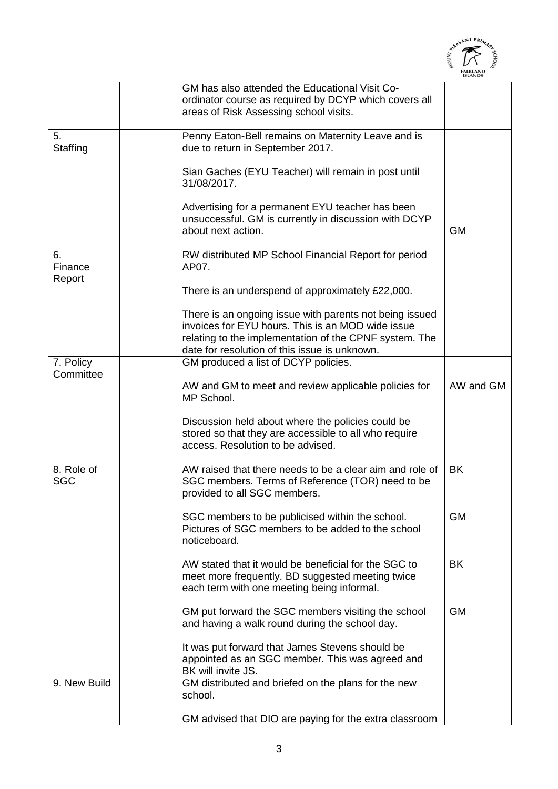

|                          |                                                                                                                                                                                                                         | <b>ISLANDS</b> |
|--------------------------|-------------------------------------------------------------------------------------------------------------------------------------------------------------------------------------------------------------------------|----------------|
|                          | GM has also attended the Educational Visit Co-<br>ordinator course as required by DCYP which covers all<br>areas of Risk Assessing school visits.                                                                       |                |
| 5.<br>Staffing           | Penny Eaton-Bell remains on Maternity Leave and is<br>due to return in September 2017.                                                                                                                                  |                |
|                          | Sian Gaches (EYU Teacher) will remain in post until<br>31/08/2017.                                                                                                                                                      |                |
|                          | Advertising for a permanent EYU teacher has been<br>unsuccessful. GM is currently in discussion with DCYP<br>about next action.                                                                                         | <b>GM</b>      |
| 6.<br>Finance            | RW distributed MP School Financial Report for period<br>AP07.                                                                                                                                                           |                |
| Report                   | There is an underspend of approximately £22,000.                                                                                                                                                                        |                |
|                          | There is an ongoing issue with parents not being issued<br>invoices for EYU hours. This is an MOD wide issue<br>relating to the implementation of the CPNF system. The<br>date for resolution of this issue is unknown. |                |
| 7. Policy                | GM produced a list of DCYP policies.                                                                                                                                                                                    |                |
| Committee                | AW and GM to meet and review applicable policies for<br>MP School.                                                                                                                                                      | AW and GM      |
|                          | Discussion held about where the policies could be<br>stored so that they are accessible to all who require<br>access. Resolution to be advised.                                                                         |                |
| 8. Role of<br><b>SGC</b> | AW raised that there needs to be a clear aim and role of<br>SGC members. Terms of Reference (TOR) need to be<br>provided to all SGC members.                                                                            | <b>BK</b>      |
|                          | SGC members to be publicised within the school.<br>Pictures of SGC members to be added to the school<br>noticeboard.                                                                                                    | <b>GM</b>      |
|                          | AW stated that it would be beneficial for the SGC to<br>meet more frequently. BD suggested meeting twice<br>each term with one meeting being informal.                                                                  | <b>BK</b>      |
|                          | GM put forward the SGC members visiting the school<br>and having a walk round during the school day.                                                                                                                    | <b>GM</b>      |
|                          | It was put forward that James Stevens should be<br>appointed as an SGC member. This was agreed and<br>BK will invite JS.                                                                                                |                |
| 9. New Build             | GM distributed and briefed on the plans for the new<br>school.                                                                                                                                                          |                |
|                          | GM advised that DIO are paying for the extra classroom                                                                                                                                                                  |                |